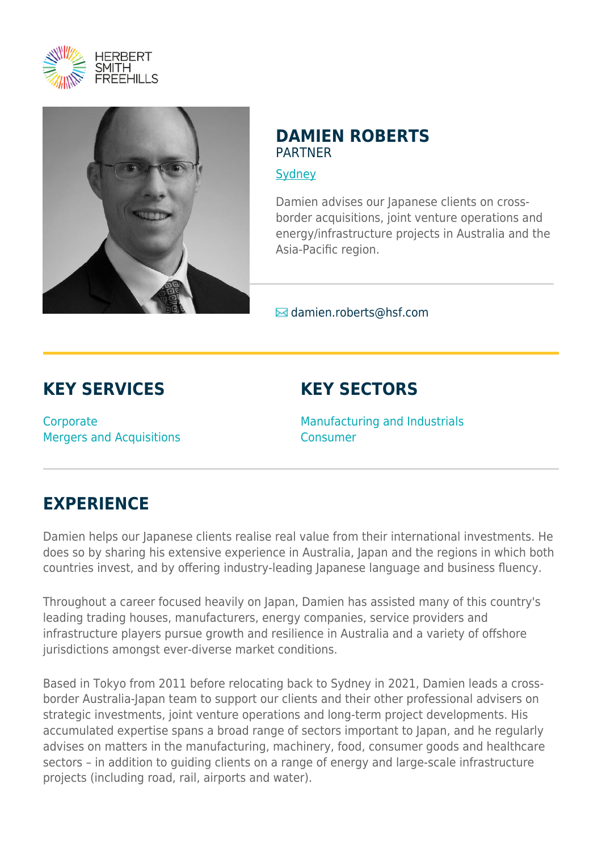



### **DAMIEN ROBERTS** PARTNER

[Sydney](https://www.herbertsmithfreehills.com/where-we-work/sydney)

Damien advises our Japanese clients on crossborder acquisitions, joint venture operations and energy/infrastructure projects in Australia and the Asia-Pacific region.

 $\blacksquare$  damien.roberts@hsf.com

# **KEY SERVICES**

**Corporate** Mergers and Acquisitions

# **KEY SECTORS**

Manufacturing and Industrials Consumer

# **EXPERIENCE**

Damien helps our Japanese clients realise real value from their international investments. He does so by sharing his extensive experience in Australia, Japan and the regions in which both countries invest, and by offering industry-leading Japanese language and business fluency.

Throughout a career focused heavily on Japan, Damien has assisted many of this country's leading trading houses, manufacturers, energy companies, service providers and infrastructure players pursue growth and resilience in Australia and a variety of offshore jurisdictions amongst ever-diverse market conditions.

Based in Tokyo from 2011 before relocating back to Sydney in 2021, Damien leads a crossborder Australia-Japan team to support our clients and their other professional advisers on strategic investments, joint venture operations and long-term project developments. His accumulated expertise spans a broad range of sectors important to Japan, and he regularly advises on matters in the manufacturing, machinery, food, consumer goods and healthcare sectors – in addition to guiding clients on a range of energy and large-scale infrastructure projects (including road, rail, airports and water).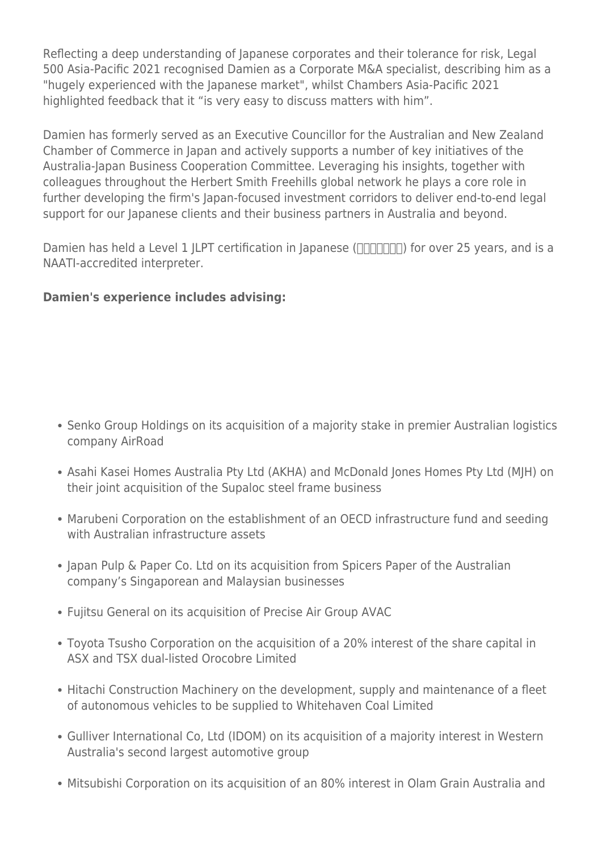Reflecting a deep understanding of Japanese corporates and their tolerance for risk, Legal 500 Asia-Pacific 2021 recognised Damien as a Corporate M&A specialist, describing him as a "hugely experienced with the Japanese market", whilst Chambers Asia-Pacific 2021 highlighted feedback that it "is very easy to discuss matters with him".

Damien has formerly served as an Executive Councillor for the Australian and New Zealand Chamber of Commerce in Japan and actively supports a number of key initiatives of the Australia-Japan Business Cooperation Committee. Leveraging his insights, together with colleagues throughout the Herbert Smith Freehills global network he plays a core role in further developing the firm's Japan-focused investment corridors to deliver end-to-end legal support for our Japanese clients and their business partners in Australia and beyond.

Damien has held a Level 1 JLPT certification in Japanese ( $\Box$  $\Box$  $\Box$ ) for over 25 years, and is a NAATI-accredited interpreter.

#### **Damien's experience includes advising:**

- Senko Group Holdings on its acquisition of a majority stake in premier Australian logistics company AirRoad
- Asahi Kasei Homes Australia Pty Ltd (AKHA) and McDonald Jones Homes Pty Ltd (MJH) on their joint acquisition of the Supaloc steel frame business
- Marubeni Corporation on the establishment of an OECD infrastructure fund and seeding with Australian infrastructure assets
- Japan Pulp & Paper Co. Ltd on its acquisition from Spicers Paper of the Australian company's Singaporean and Malaysian businesses
- Fujitsu General on its acquisition of Precise Air Group AVAC
- Toyota Tsusho Corporation on the acquisition of a 20% interest of the share capital in ASX and TSX dual-listed Orocobre Limited
- Hitachi Construction Machinery on the development, supply and maintenance of a fleet of autonomous vehicles to be supplied to Whitehaven Coal Limited
- Gulliver International Co, Ltd (IDOM) on its acquisition of a majority interest in Western Australia's second largest automotive group
- Mitsubishi Corporation on its acquisition of an 80% interest in Olam Grain Australia and